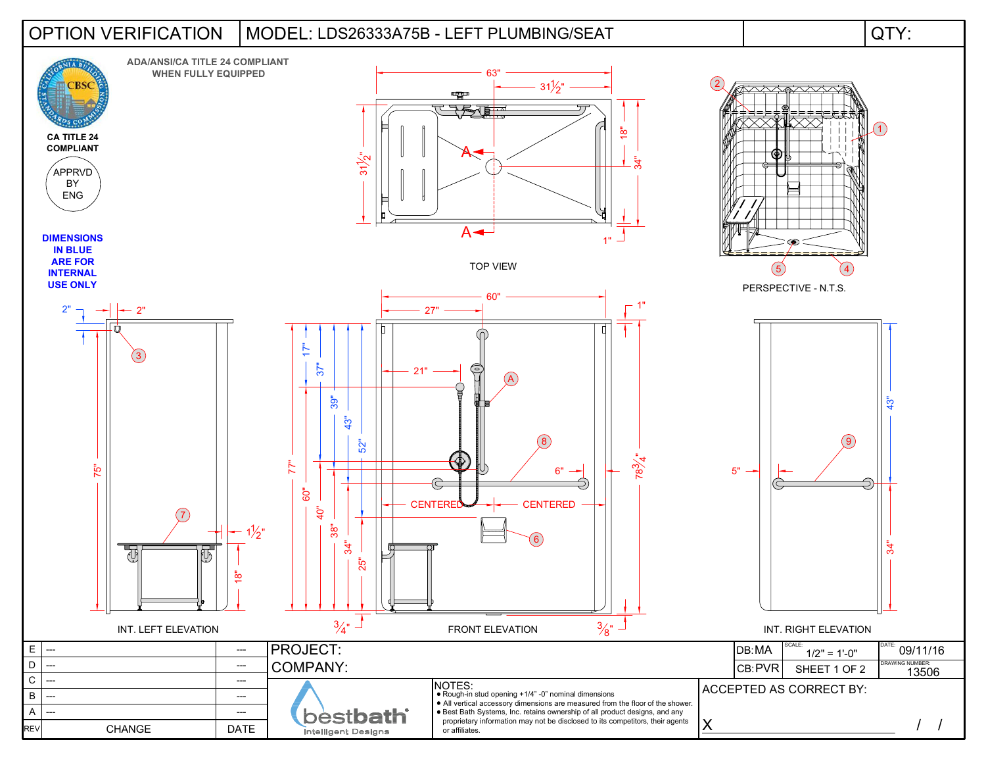## LDS26333A75B - LEFT PLUMBING/SEAT OPTION VERIFICATION MODEL: QTY: